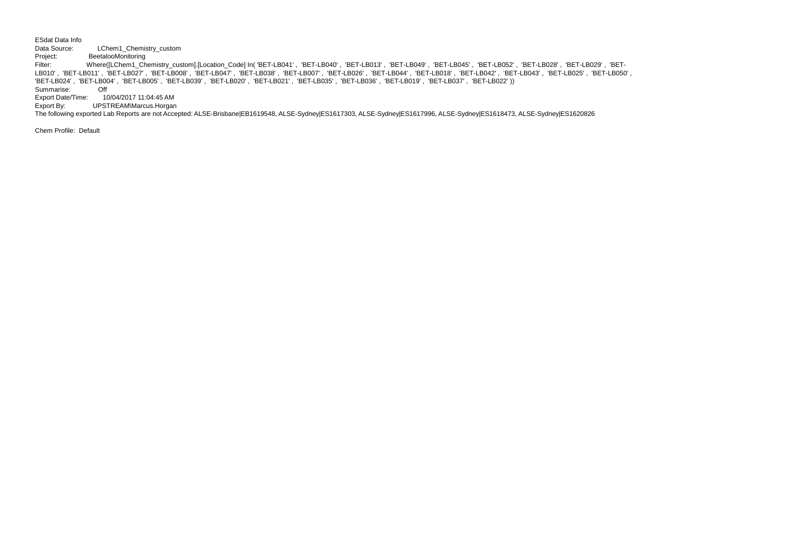ESdat Data Info

Data Source: LChem1\_Chemistry\_custom

Project: BeetalooMonitoring<br>Filter: Where([LChem1 Che Filter: Where([LChem1\_Chemistry\_custom].[Location\_Code] In( 'BET-LB041' , 'BET-LB040' , 'BET-LB013' , 'BET-LB049' , 'BET-LB045' , 'BET-LB052' , 'BET-LB028' , 'BET-LB029' , 'BET-LB010' , 'BET-LB011' , 'BET-LB027' , 'BET-LB008' , 'BET-LB047' , 'BET-LB038' , 'BET-LB007' , 'BET-LB026' , 'BET-LB044' , 'BET-LB018' , 'BET-LB042' , 'BET-LB043' , 'BET-LB025' , 'BET-LB050' , 'BET-LB024' , 'BET-LB004' , 'BET-LB005' , 'BET-LB039' , 'BET-LB020' , 'BET-LB021' , 'BET-LB035' , 'BET-LB036' , 'BET-LB019' , 'BET-LB037' , 'BET-LB022' ))Summarise: Off

Export Date/Time: 10/04/2017 11:04:45 AM

Export By: UPSTREAM\Marcus.Horgan

The following exported Lab Reports are not Accepted: ALSE-Brisbane|EB1619548, ALSE-Sydney|ES1617303, ALSE-Sydney|ES1617996, ALSE-Sydney|ES1618473, ALSE-Sydney|ES1620826

Chem Profile: Default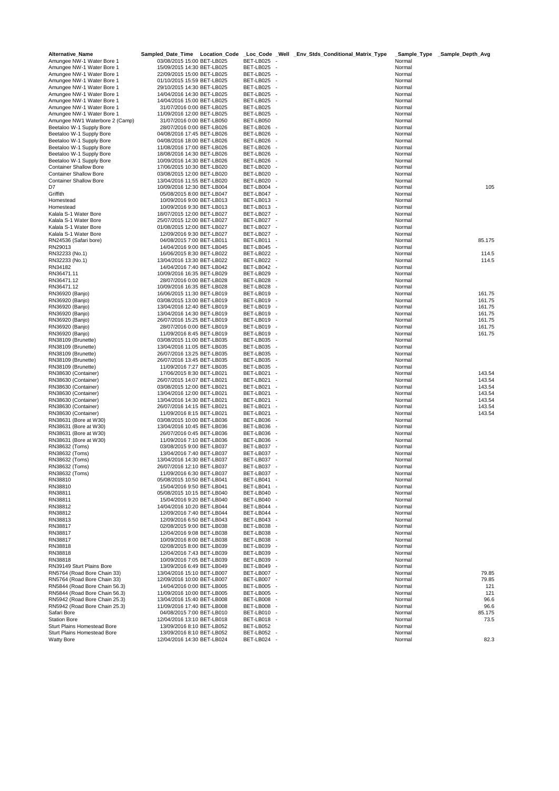| <b>Alternative Name</b>                                        | Sampled_Date_Time Location_Code                          |                                                                                | _Loc_Code _Well _Env_Stds_Conditional_Matrix_Type | Sample_Type      | _Sample_Depth_Avg |
|----------------------------------------------------------------|----------------------------------------------------------|--------------------------------------------------------------------------------|---------------------------------------------------|------------------|-------------------|
| Amungee NW-1 Water Bore 1                                      | 03/08/2015 15:00 BET-LB025                               | BET-LB025                                                                      |                                                   | Normal           |                   |
| Amungee NW-1 Water Bore 1                                      | 15/09/2015 14:30 BET-LB025                               | BET-LB025                                                                      |                                                   | Normal           |                   |
| Amungee NW-1 Water Bore 1                                      | 22/09/2015 15:00 BET-LB025                               | BET-LB025<br>$\overline{\phantom{a}}$                                          |                                                   | Normal           |                   |
| Amungee NW-1 Water Bore 1                                      | 01/10/2015 15:59 BET-LB025                               | BET-LB025<br>÷,                                                                |                                                   | Normal           |                   |
| Amungee NW-1 Water Bore 1                                      | 29/10/2015 14:30 BET-LB025                               | BET-LB025                                                                      |                                                   | Normal           |                   |
| Amungee NW-1 Water Bore 1<br>Amungee NW-1 Water Bore 1         | 14/04/2016 14:30 BET-LB025                               | BET-LB025<br>$\overline{\phantom{a}}$<br>÷.                                    |                                                   | Normal<br>Normal |                   |
| Amungee NW-1 Water Bore 1                                      | 14/04/2016 15:00 BET-LB025<br>31/07/2016 0:00 BET-LB025  | BET-LB025<br>BET-LB025                                                         |                                                   | Normal           |                   |
| Amungee NW-1 Water Bore 1                                      | 11/09/2016 12:00 BET-LB025                               | BET-LB025<br>$\overline{\phantom{a}}$                                          |                                                   | Normal           |                   |
| Amungee NW1 Waterbore 2 (Camp)                                 | 31/07/2016 0:00 BET-LB050                                | BET-LB050                                                                      |                                                   | Normal           |                   |
| Beetaloo W-1 Supply Bore                                       | 28/07/2016 0:00 BET-LB026                                | BET-LB026                                                                      |                                                   | Normal           |                   |
| Beetaloo W-1 Supply Bore                                       | 04/08/2016 17:45 BET-LB026                               | BET-LB026<br>$\overline{\phantom{a}}$                                          |                                                   | Normal           |                   |
| Beetaloo W-1 Supply Bore                                       | 04/08/2016 18:00 BET-LB026                               | BET-LB026<br>÷,                                                                |                                                   | Normal           |                   |
| Beetaloo W-1 Supply Bore                                       | 11/08/2016 17:00 BET-LB026                               | BET-LB026                                                                      |                                                   | Normal           |                   |
| Beetaloo W-1 Supply Bore                                       | 18/08/2016 14:30 BET-LB026                               | BET-LB026                                                                      |                                                   | Normal           |                   |
| Beetaloo W-1 Supply Bore                                       | 10/09/2016 14:30 BET-LB026                               | BET-LB026                                                                      |                                                   | Normal           |                   |
| <b>Container Shallow Bore</b>                                  | 17/06/2015 10:30 BET-LB020                               | BET-LB020<br>$\overline{\phantom{a}}$                                          |                                                   | Normal           |                   |
| <b>Container Shallow Bore</b>                                  | 03/08/2015 12:00 BET-LB020<br>13/04/2016 11:55 BET-LB020 | BET-LB020<br>$\overline{\phantom{a}}$                                          |                                                   | Normal           |                   |
| <b>Container Shallow Bore</b><br>D7                            |                                                          | BET-LB020<br>٠.                                                                |                                                   | Normal<br>Normal | 105               |
| Griffith                                                       | 10/09/2016 12:30 BET-LB004<br>05/08/2015 8:00 BET-LB047  | BET-LB004<br>BET-LB047<br>٠.                                                   |                                                   | Normal           |                   |
| Homestead                                                      | 10/09/2016 9:00 BET-LB013                                | BET-LB013<br>$\overline{\phantom{a}}$                                          |                                                   | Normal           |                   |
| Homestead                                                      | 10/09/2016 9:30 BET-LB013                                | BET-LB013<br>$\overline{\phantom{a}}$                                          |                                                   | Normal           |                   |
| Kalala S-1 Water Bore                                          | 18/07/2015 12:00 BET-LB027                               | BET-LB027<br>$\overline{\phantom{a}}$                                          |                                                   | Normal           |                   |
| Kalala S-1 Water Bore                                          | 25/07/2015 12:00 BET-LB027                               | BET-LB027<br>$\overline{\phantom{a}}$                                          |                                                   | Normal           |                   |
| Kalala S-1 Water Bore                                          | 01/08/2015 12:00 BET-LB027                               | BET-LB027                                                                      |                                                   | Normal           |                   |
| Kalala S-1 Water Bore                                          | 12/09/2016 9:30 BET-LB027                                | BET-LB027<br>$\overline{\phantom{a}}$                                          |                                                   | Normal           |                   |
| RN24536 (Safari bore)                                          | 04/08/2015 7:00 BET-LB011                                | BET-LB011<br>$\overline{\phantom{a}}$                                          |                                                   | Normal           | 85.175            |
| RN29013                                                        | 14/04/2016 9:00 BET-LB045                                | BET-LB045<br>$\sim$                                                            |                                                   | Normal           |                   |
| RN32233 (No.1)                                                 | 16/06/2015 8:30 BET-LB022                                | BET-LB022                                                                      |                                                   | Normal           | 114.5             |
| RN32233 (No.1)                                                 | 13/04/2016 13:30 BET-LB022                               | BET-LB022<br>$\overline{\phantom{a}}$                                          |                                                   | Normal           | 114.5             |
| RN34182                                                        | 14/04/2016 7:40 BET-LB042                                | BET-LB042<br>$\overline{\phantom{a}}$                                          |                                                   | Normal           |                   |
| RN36471.11<br>RN36471.12                                       | 10/09/2016 16:35 BET-LB029<br>28/07/2016 0:00 BET-LB028  | BET-LB029<br>$\overline{\phantom{a}}$<br>BET-LB028<br>$\overline{\phantom{a}}$ |                                                   | Normal<br>Normal |                   |
| RN36471.12                                                     | 10/09/2016 16:35 BET-LB028                               | BET-LB028<br>$\overline{\phantom{a}}$                                          |                                                   | Normal           |                   |
| RN36920 (Banjo)                                                | 16/06/2015 11:30 BET-LB019                               | BET-LB019<br>$\overline{\phantom{a}}$                                          |                                                   | Normal           | 161.75            |
| RN36920 (Banjo)                                                | 03/08/2015 13:00 BET-LB019                               | BET-LB019                                                                      |                                                   | Normal           | 161.75            |
| RN36920 (Banjo)                                                | 13/04/2016 12:40 BET-LB019                               | BET-LB019<br>$\overline{\phantom{a}}$                                          |                                                   | Normal           | 161.75            |
| RN36920 (Banjo)                                                | 13/04/2016 14:30 BET-LB019                               | BET-LB019<br>$\overline{\phantom{a}}$                                          |                                                   | Normal           | 161.75            |
| RN36920 (Banjo)                                                | 26/07/2016 15:25 BET-LB019                               | BET-LB019<br>$\overline{\phantom{a}}$                                          |                                                   | Normal           | 161.75            |
| RN36920 (Banjo)                                                | 28/07/2016 0:00 BET-LB019                                | BET-LB019<br>$\overline{\phantom{a}}$                                          |                                                   | Normal           | 161.75            |
| RN36920 (Banjo)                                                | 11/09/2016 8:45 BET-LB019                                | BET-LB019<br>$\overline{\phantom{a}}$                                          |                                                   | Normal           | 161.75            |
| RN38109 (Brunette)                                             | 03/08/2015 11:00 BET-LB035                               | BET-LB035<br>$\overline{\phantom{a}}$                                          |                                                   | Normal           |                   |
| RN38109 (Brunette)                                             | 13/04/2016 11:05 BET-LB035                               | BET-LB035<br>$\overline{\phantom{a}}$                                          |                                                   | Normal           |                   |
| RN38109 (Brunette)<br>RN38109 (Brunette)                       | 26/07/2016 13:25 BET-LB035<br>26/07/2016 13:45 BET-LB035 | BET-LB035<br>$\overline{\phantom{a}}$<br>BET-LB035<br>$\overline{\phantom{a}}$ |                                                   | Normal<br>Normal |                   |
| RN38109 (Brunette)                                             | 11/09/2016 7:27 BET-LB035                                | BET-LB035<br>÷,                                                                |                                                   | Normal           |                   |
| RN38630 (Container)                                            | 17/06/2015 8:30 BET-LB021                                | BET-LB021                                                                      |                                                   | Normal           | 143.54            |
| RN38630 (Container)                                            | 26/07/2015 14:07 BET-LB021                               | BET-LB021<br>$\overline{\phantom{a}}$                                          |                                                   | Normal           | 143.54            |
| RN38630 (Container)                                            | 03/08/2015 12:00 BET-LB021                               | BET-LB021<br>$\overline{\phantom{a}}$                                          |                                                   | Normal           | 143.54            |
| RN38630 (Container)                                            | 13/04/2016 12:00 BET-LB021                               | BET-LB021<br>$\overline{\phantom{a}}$                                          |                                                   | Normal           | 143.54            |
| RN38630 (Container)                                            | 13/04/2016 14:30 BET-LB021                               | BET-LB021<br>÷,                                                                |                                                   | Normal           | 143.54            |
| RN38630 (Container)                                            | 26/07/2016 14:15 BET-LB021                               | BET-LB021<br>$\overline{\phantom{a}}$                                          |                                                   | Normal           | 143.54            |
| RN38630 (Container)                                            | 11/09/2016 8:15 BET-LB021                                | BET-LB021<br>÷,                                                                |                                                   | Normal           | 143.54            |
| RN38631 (Bore at W30)                                          | 03/08/2015 10:00 BET-LB036                               | BET-LB036<br>$\overline{\phantom{a}}$                                          |                                                   | Normal           |                   |
| RN38631 (Bore at W30)<br>RN38631 (Bore at W30)                 | 13/04/2016 10:45 BET-LB036                               | BET-LB036<br>$\overline{\phantom{a}}$<br>$\overline{\phantom{a}}$              |                                                   | Normal<br>Normal |                   |
| RN38631 (Bore at W30)                                          | 26/07/2016 0:45 BET-LB036<br>11/09/2016 7:10 BET-LB036   | BET-LB036<br>BET-LB036                                                         |                                                   | Normal           |                   |
| RN38632 (Toms)                                                 | 03/08/2015 9:00 BET-LB037                                | BET-LB037                                                                      |                                                   | Normal           |                   |
| RN38632 (Toms)                                                 | 13/04/2016 7:40 BET-LB037                                | BET-LB037                                                                      |                                                   | Normal           |                   |
| RN38632 (Toms)                                                 | 13/04/2016 14:30 BET-LB037                               | BET-LB037<br>$\sim$                                                            |                                                   | Normal           |                   |
| RN38632 (Toms)                                                 | 26/07/2016 12:10 BET-LB037                               | BET-LB037 -                                                                    |                                                   | Normal           |                   |
| RN38632 (Toms)                                                 | 11/09/2016 6:30 BET-LB037                                | BET-LB037                                                                      |                                                   | Normal           |                   |
| RN38810                                                        | 05/08/2015 10:50 BET-LB041                               | BET-LB041<br>$\sim$                                                            |                                                   | Normal           |                   |
| RN38810                                                        | 15/04/2016 9:50 BET-LB041                                | BET-LB041                                                                      |                                                   | Normal           |                   |
| RN38811                                                        | 05/08/2015 10:15 BET-LB040                               | BET-LB040<br>$\overline{\phantom{a}}$                                          |                                                   | Normal           |                   |
| RN38811                                                        | 15/04/2016 9:20 BET-LB040                                | BET-LB040<br>$\overline{\phantom{a}}$                                          |                                                   | Normal           |                   |
| RN38812<br>RN38812                                             | 14/04/2016 10:20 BET-LB044<br>12/09/2016 7:40 BET-LB044  | BET-LB044<br>$\overline{\phantom{a}}$<br>BET-LB044<br>$\overline{\phantom{a}}$ |                                                   | Normal           |                   |
| RN38813                                                        | 12/09/2016 6:50 BET-LB043                                | BET-LB043<br>$\overline{\phantom{a}}$                                          |                                                   | Normal<br>Normal |                   |
| RN38817                                                        | 02/08/2015 9:00 BET-LB038                                | BET-LB038                                                                      |                                                   | Normal           |                   |
| RN38817                                                        | 12/04/2016 9:08 BET-LB038                                | BET-LB038<br>$\overline{\phantom{a}}$                                          |                                                   | Normal           |                   |
| RN38817                                                        | 10/09/2016 8:00 BET-LB038                                | BET-LB038<br>$\sim$                                                            |                                                   | Normal           |                   |
| RN38818                                                        | 02/08/2015 8:00 BET-LB039                                | BET-LB039<br>$\overline{\phantom{a}}$                                          |                                                   | Normal           |                   |
| RN38818                                                        | 12/04/2016 7:43 BET-LB039                                | BET-LB039<br>$\overline{\phantom{a}}$                                          |                                                   | Normal           |                   |
| RN38818                                                        | 10/09/2016 7:05 BET-LB039                                | BET-LB039<br>$\sim$                                                            |                                                   | Normal           |                   |
| RN39149 Sturt Plains Bore                                      | 13/09/2016 6:49 BET-LB049                                | BET-LB049<br>$\overline{\phantom{a}}$                                          |                                                   | Normal           |                   |
| RN5764 (Road Bore Chain 33)                                    | 13/04/2016 15:10 BET-LB007                               | BET-LB007 -                                                                    |                                                   | Normal           | 79.85             |
| RN5764 (Road Bore Chain 33)                                    | 12/09/2016 10:00 BET-LB007                               | BET-LB007 -                                                                    |                                                   | Normal           | 79.85             |
| RN5844 (Road Bore Chain 56.3)                                  | 14/04/2016 0:00 BET-LB005                                | BET-LB005<br>$\overline{\phantom{a}}$<br>$\overline{\phantom{a}}$              |                                                   | Normal           | 121               |
| RN5844 (Road Bore Chain 56.3)<br>RN5942 (Road Bore Chain 25.3) | 11/09/2016 10:00 BET-LB005<br>13/04/2016 15:40 BET-LB008 | BET-LB005<br>BET-LB008                                                         |                                                   | Normal<br>Normal | 121<br>96.6       |
| RN5942 (Road Bore Chain 25.3)                                  | 11/09/2016 17:40 BET-LB008                               | BET-LB008<br>$\overline{\phantom{a}}$                                          |                                                   | Normal           | 96.6              |
| Safari Bore                                                    | 04/08/2015 7:00 BET-LB010                                | BET-LB010 -                                                                    |                                                   | Normal           | 85.175            |
| <b>Station Bore</b>                                            | 12/04/2016 13:10 BET-LB018                               | BET-LB018<br>$\overline{\phantom{a}}$                                          |                                                   | Normal           | 73.5              |
| Sturt Plains Homestead Bore                                    | 13/09/2016 8:10 BET-LB052                                | BET-LB052                                                                      |                                                   | Normal           |                   |
| <b>Sturt Plains Homestead Bore</b>                             | 13/09/2016 8:10 BET-LB052                                | BET-LB052                                                                      |                                                   | Normal           |                   |
| <b>Watty Bore</b>                                              | 12/04/2016 14:30 BET-LB024                               | BET-LB024                                                                      |                                                   | Normal           | 82.3              |